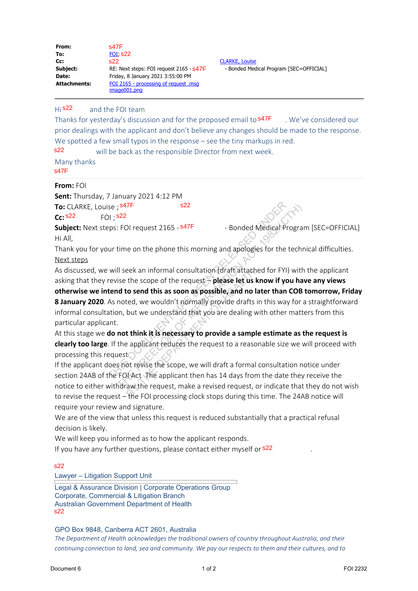| From:<br>To:<br>Cc:<br>Subject:<br>Date:<br><b>Attachments:</b>          | s47F<br><b>FOI, S22</b><br>s22.<br>RE: Next steps: FOI request 2165 - S47F<br>Friday, 8 January 2021 3:55:00 PM<br><u>FOI 2165 - processing of request.msq</u><br>image001.png    |
|--------------------------------------------------------------------------|-----------------------------------------------------------------------------------------------------------------------------------------------------------------------------------|
| Hi <b>s22</b>                                                            | and the FOI team<br>Thanks for yesterday's discussion and for the pro<br>prior dealings with the applicant and don't believ<br>We spotted a few small typos in the response $-$ s |
| 322<br>Many thanks<br>347F                                               | will be back as the responsible Direc                                                                                                                                             |
| From: FOI<br><b>To:</b> CLARKE, Louise ; <sup>s47F</sup><br>$cc$ : $s22$ | Sent: Thursday, 7 January 2021 4:12 PM<br>s22<br>FOI : S22                                                                                                                        |
|                                                                          | Subject: Next steps: EOI request 2165 - S47F                                                                                                                                      |

**Cc:** CLARKE, Louise - Bonded Medical Program [SEC=OFFICIAL]

## and the FOI team  $Hi$  s22

Thanks for vesterday's discussion and for the proposed email to  $\frac{47F}{\pi}$ . We've considered our prior dealings with the applicant and don't believe any changes should be made to the response. We spotted a few small typos in the response – see the tiny markups in red. Thanks for yesterday's discussion and for the proposed email to **s47F** prior dealings with the applicant and don't believe any changes shou We spotted a few small typos in the response – see the tiny markups **s22** will be

 will be back as the responsible Director from next week. s22

## **From:** FOI

**Subject:** Next steps: FOI request 2165 - s47F - Bonded Medical Program [SEC=OFFICIAL] Hi All,

Thank you for your time on the phone this morning and apologies for the technical difficulties. Next steps

As discussed, we will seek an informal consultation (draft attached for FYI) with the applicant asking that they revise the scope of the request – **please let us know if you have any views**

**otherwise we intend to send this as soon as possible, and no later than COB tomorrow, Friday 8 January 2020**. As noted, we wouldn't normally provide drafts in this way for a straightforward informal consultation, but we understand that you are dealing with other matters from this particular applicant.  $\frac{1}{2}$ <br>
FOI request 2165 -  $\frac{547F}{2}$  - Bonded Medical Program<br>
time on the phone this morning and apologies for the technical<br>
II seek an informal consultation (draft attached for FYI) with<br>
is the scope of the requ eek an informal consultation (draft attached<br>the scope of the request – **please let us kn**<br>**to send this as soon as possible, and no lat**<br>ted, we wouldn't normally provide drafts in<br>but we understand that you are dealing w

At this stage we **do not think it is necessary to provide a sample estimate as the request is clearly too large**. If the applicant reduces the request to a reasonable size we will proceed with processing this request

If the applicant does not revise the scope, we will draft a formal consultation notice under section 24AB of the FOI Act The applicant then has 14 days from the date they receive the notice to either withdraw the request, make a revised request, or indicate that they do not wish to revise the request – the FOI processing clock stops during this time. The 24AB notice will require your review and signature. To: LARKIP, Louise;  $\frac{1}{2}$  for 2 CLARKIP and the control of the control of the control of the control of the control of the control of the control of the control of the control of the control of the control of the cont

We are of the view that unless this request is reduced substantially that a practical refusal decision is likely.

We will keep you informed as to how the applicant responds.

If you have any further questions, please contact either myself or <sup>s22</sup>

s22

Lawyer – Litigation Support Unit

Legal & Assurance Division | Corporate Operations Group Corporate, Commercial & Litigation Branch Australian Government Department of Health s22

GPO Box 9848, Canberra ACT 2601, Australia

*The Department of Health acknowledges the traditional owners of country throughout Australia, and their continuing connection to land, sea and community. We pay our respects to them and their cultures, and to*